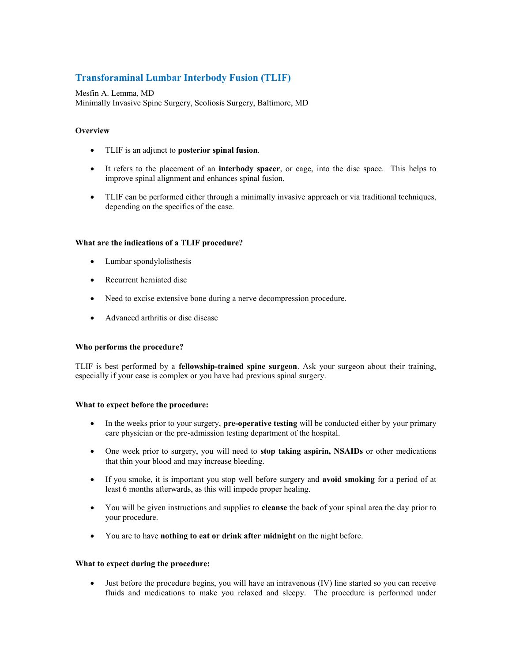# **Transforaminal Lumbar Interbody Fusion (TLIF)**

Mesfin A. Lemma, MD Minimally Invasive Spine Surgery, Scoliosis Surgery, Baltimore, MD

# **Overview**

- TLIF is an adjunct to **posterior spinal fusion**.
- It refers to the placement of an **interbody spacer**, or cage, into the disc space. This helps to improve spinal alignment and enhances spinal fusion.
- TLIF can be performed either through a minimally invasive approach or via traditional techniques, depending on the specifics of the case.

## **What are the indications of a TLIF procedure?**

- Lumbar spondylolisthesis
- Recurrent herniated disc
- Need to excise extensive bone during a nerve decompression procedure.
- Advanced arthritis or disc disease

#### **Who performs the procedure?**

TLIF is best performed by a **fellowship-trained spine surgeon**. Ask your surgeon about their training, especially if your case is complex or you have had previous spinal surgery.

#### **What to expect before the procedure:**

- In the weeks prior to your surgery, **pre-operative testing** will be conducted either by your primary care physician or the pre-admission testing department of the hospital.
- One week prior to surgery, you will need to **stop taking aspirin, NSAIDs** or other medications that thin your blood and may increase bleeding.
- If you smoke, it is important you stop well before surgery and **avoid smoking** for a period of at least 6 months afterwards, as this will impede proper healing.
- You will be given instructions and supplies to **cleanse** the back of your spinal area the day prior to your procedure.
- You are to have **nothing to eat or drink after midnight** on the night before.

#### **What to expect during the procedure:**

 Just before the procedure begins, you will have an intravenous (IV) line started so you can receive fluids and medications to make you relaxed and sleepy. The procedure is performed under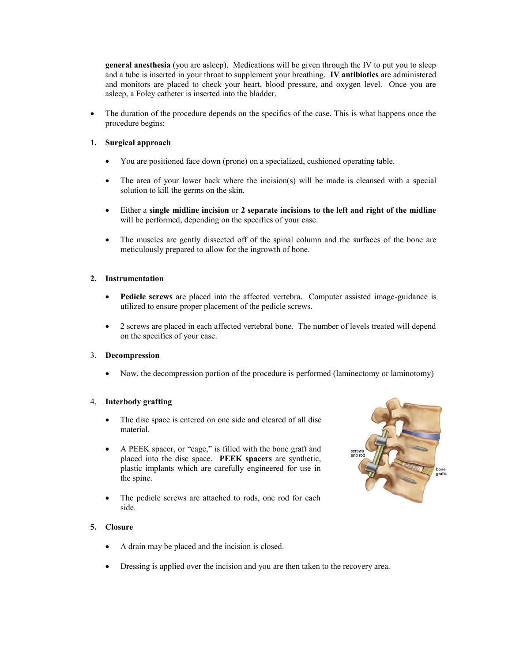**general anesthesia** (you are asleep). Medications will be given through the IV to put you to sleep and a tube is inserted in your throat to supplement your breathing. **IV antibiotics** are administered and monitors are placed to check your heart, blood pressure, and oxygen level. Once you are asleep, a Foley catheter is inserted into the bladder.

• The duration of the procedure depends on the specifics of the case. This is what happens once the procedure begins:

# **1. Surgical approach**

- You are positioned face down (prone) on a specialized, cushioned operating table.
- The area of your lower back where the incision(s) will be made is cleansed with a special solution to kill the germs on the skin.
- Either a **single midline incision** or **2 separate incisions to the left and right of the midline**  will be performed, depending on the specifics of your case.
- The muscles are gently dissected off of the spinal column and the surfaces of the bone are meticulously prepared to allow for the ingrowth of bone.

# **2. Instrumentation**

- **Pedicle screws** are placed into the affected vertebra. Computer assisted image-guidance is utilized to ensure proper placement of the pedicle screws.
- 2 screws are placed in each affected vertebral bone. The number of levels treated will depend on the specifics of your case.

# 3. **Decompression**

Now, the decompression portion of the procedure is performed (laminectomy or laminotomy)

# 4. **Interbody grafting**

- The disc space is entered on one side and cleared of all disc material.
- A PEEK spacer, or "cage," is filled with the bone graft and placed into the disc space. **PEEK spacers** are synthetic, plastic implants which are carefully engineered for use in the spine.
- The pedicle screws are attached to rods, one rod for each side.



# **5. Closure**

- A drain may be placed and the incision is closed.
- Dressing is applied over the incision and you are then taken to the recovery area.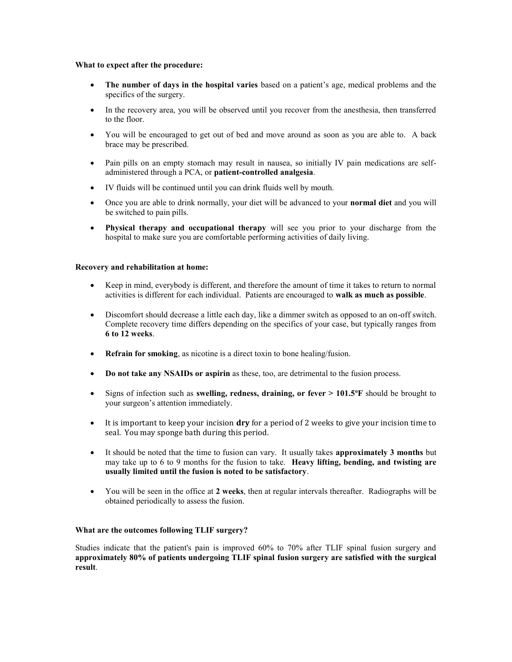#### **What to expect after the procedure:**

- **The number of days in the hospital varies** based on a patient's age, medical problems and the specifics of the surgery.
- In the recovery area, you will be observed until you recover from the anesthesia, then transferred to the floor.
- You will be encouraged to get out of bed and move around as soon as you are able to. A back brace may be prescribed.
- Pain pills on an empty stomach may result in nausea, so initially IV pain medications are selfadministered through a PCA, or **patient-controlled analgesia**.
- IV fluids will be continued until you can drink fluids well by mouth.
- Once you are able to drink normally, your diet will be advanced to your **normal diet** and you will be switched to pain pills.
- **Physical therapy and occupational therapy** will see you prior to your discharge from the hospital to make sure you are comfortable performing activities of daily living.

## **Recovery and rehabilitation at home:**

- Keep in mind, everybody is different, and therefore the amount of time it takes to return to normal activities is different for each individual. Patients are encouraged to **walk as much as possible**.
- Discomfort should decrease a little each day, like a dimmer switch as opposed to an on-off switch. Complete recovery time differs depending on the specifics of your case, but typically ranges from **6 to 12 weeks**.
- **Refrain for smoking**, as nicotine is a direct toxin to bone healing/fusion.
- **Do not take any NSAIDs or aspirin** as these, too, are detrimental to the fusion process.
- Signs of infection such as **swelling, redness, draining, or fever > 101.5<sup>o</sup>F** should be brought to your surgeon's attention immediately.
- It is important to keep your incision **dry** for a period of 2 weeks to give your incision time to seal. You may sponge bath during this period.
- It should be noted that the time to fusion can vary. It usually takes **approximately 3 months** but may take up to 6 to 9 months for the fusion to take. **Heavy lifting, bending, and twisting are usually limited until the fusion is noted to be satisfactory**.
- You will be seen in the office at **2 weeks**, then at regular intervals thereafter. Radiographs will be obtained periodically to assess the fusion.

## **What are the outcomes following TLIF surgery?**

Studies indicate that the patient's pain is improved 60% to 70% after TLIF spinal fusion surgery and **approximately 80% of patients undergoing TLIF spinal fusion surgery are satisfied with the surgical result**.